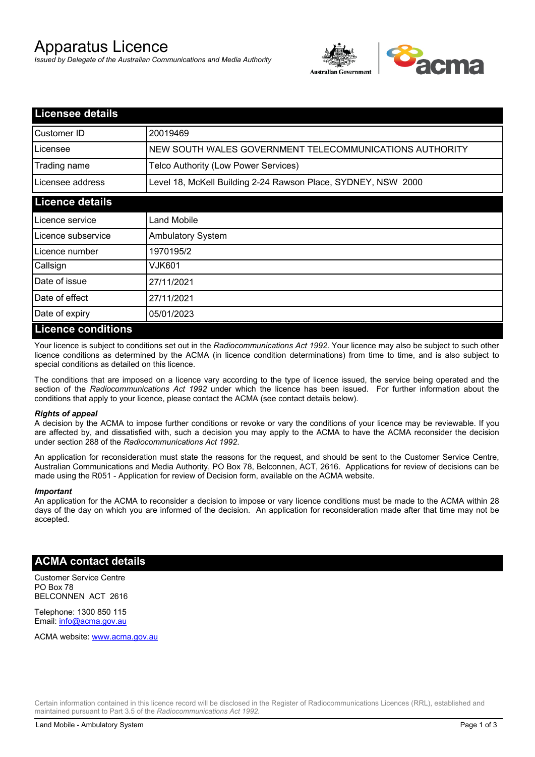# Apparatus Licence

*Issued by Delegate of the Australian Communications and Media Authority*



| <b>Licensee details</b> |                                                               |  |  |
|-------------------------|---------------------------------------------------------------|--|--|
| Customer ID             | 20019469                                                      |  |  |
| Licensee                | NEW SOUTH WALES GOVERNMENT TELECOMMUNICATIONS AUTHORITY       |  |  |
| Trading name            | Telco Authority (Low Power Services)                          |  |  |
| Licensee address        | Level 18, McKell Building 2-24 Rawson Place, SYDNEY, NSW 2000 |  |  |
| <b>Licence details</b>  |                                                               |  |  |
| Licence service         | Land Mobile                                                   |  |  |
| Licence subservice      | <b>Ambulatory System</b>                                      |  |  |
| Licence number          | 1970195/2                                                     |  |  |
| Callsign                | VJK601                                                        |  |  |
| Date of issue           | 27/11/2021                                                    |  |  |
| Date of effect          | 27/11/2021                                                    |  |  |
| Date of expiry          | 05/01/2023                                                    |  |  |
| Licence conditions      |                                                               |  |  |

## **Licence conditions**

Your licence is subject to conditions set out in the *Radiocommunications Act 1992*. Your licence may also be subject to such other licence conditions as determined by the ACMA (in licence condition determinations) from time to time, and is also subject to special conditions as detailed on this licence.

The conditions that are imposed on a licence vary according to the type of licence issued, the service being operated and the section of the *Radiocommunications Act 1992* under which the licence has been issued. For further information about the conditions that apply to your licence, please contact the ACMA (see contact details below).

#### *Rights of appeal*

A decision by the ACMA to impose further conditions or revoke or vary the conditions of your licence may be reviewable. If you are affected by, and dissatisfied with, such a decision you may apply to the ACMA to have the ACMA reconsider the decision under section 288 of the *Radiocommunications Act 1992*.

An application for reconsideration must state the reasons for the request, and should be sent to the Customer Service Centre, Australian Communications and Media Authority, PO Box 78, Belconnen, ACT, 2616. Applications for review of decisions can be made using the R051 - Application for review of Decision form, available on the ACMA website.

#### *Important*

An application for the ACMA to reconsider a decision to impose or vary licence conditions must be made to the ACMA within 28 days of the day on which you are informed of the decision. An application for reconsideration made after that time may not be accepted.

#### **ACMA contact details**

Customer Service Centre PO Box 78 BELCONNEN ACT 2616

Telephone: 1300 850 115 Email: info@acma.gov.au

ACMA website: www.acma.gov.au

Certain information contained in this licence record will be disclosed in the Register of Radiocommunications Licences (RRL), established and maintained pursuant to Part 3.5 of the *Radiocommunications Act 1992.*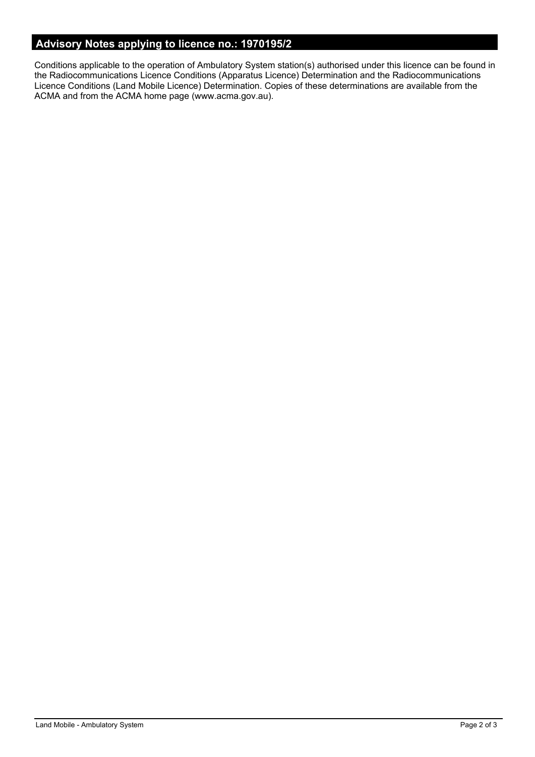# **Advisory Notes applying to licence no.: 1970195/2**

Conditions applicable to the operation of Ambulatory System station(s) authorised under this licence can be found in the Radiocommunications Licence Conditions (Apparatus Licence) Determination and the Radiocommunications Licence Conditions (Land Mobile Licence) Determination. Copies of these determinations are available from the ACMA and from the ACMA home page (www.acma.gov.au).